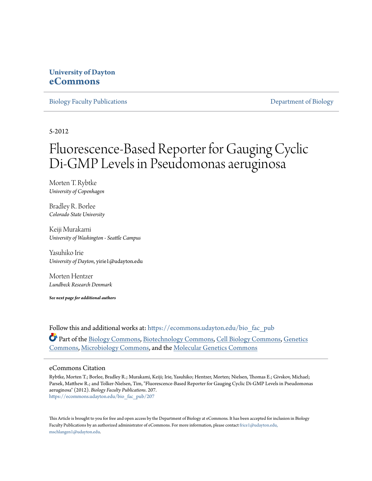### **University of Dayton [eCommons](https://ecommons.udayton.edu?utm_source=ecommons.udayton.edu%2Fbio_fac_pub%2F207&utm_medium=PDF&utm_campaign=PDFCoverPages)**

[Biology Faculty Publications](https://ecommons.udayton.edu/bio_fac_pub?utm_source=ecommons.udayton.edu%2Fbio_fac_pub%2F207&utm_medium=PDF&utm_campaign=PDFCoverPages) **[Department of Biology](https://ecommons.udayton.edu/bio?utm_source=ecommons.udayton.edu%2Fbio_fac_pub%2F207&utm_medium=PDF&utm_campaign=PDFCoverPages)** 

5-2012

# Fluorescence-Based Reporter for Gauging Cyclic Di-GMP Levels in Pseudomonas aeruginosa

Morten T. Rybtke *University of Copenhagen*

Bradley R. Borlee *Colorado State University*

Keiji Murakami *University of Washington - Seattle Campus*

Yasuhiko Irie *University of Dayton*, yirie1@udayton.edu

Morten Hentzer *Lundbeck Research Denmark*

*See next page for additional authors*

Follow this and additional works at: [https://ecommons.udayton.edu/bio\\_fac\\_pub](https://ecommons.udayton.edu/bio_fac_pub?utm_source=ecommons.udayton.edu%2Fbio_fac_pub%2F207&utm_medium=PDF&utm_campaign=PDFCoverPages) Part of the [Biology Commons,](http://network.bepress.com/hgg/discipline/41?utm_source=ecommons.udayton.edu%2Fbio_fac_pub%2F207&utm_medium=PDF&utm_campaign=PDFCoverPages) [Biotechnology Commons,](http://network.bepress.com/hgg/discipline/111?utm_source=ecommons.udayton.edu%2Fbio_fac_pub%2F207&utm_medium=PDF&utm_campaign=PDFCoverPages) [Cell Biology Commons](http://network.bepress.com/hgg/discipline/10?utm_source=ecommons.udayton.edu%2Fbio_fac_pub%2F207&utm_medium=PDF&utm_campaign=PDFCoverPages), [Genetics](http://network.bepress.com/hgg/discipline/29?utm_source=ecommons.udayton.edu%2Fbio_fac_pub%2F207&utm_medium=PDF&utm_campaign=PDFCoverPages) [Commons,](http://network.bepress.com/hgg/discipline/29?utm_source=ecommons.udayton.edu%2Fbio_fac_pub%2F207&utm_medium=PDF&utm_campaign=PDFCoverPages) [Microbiology Commons](http://network.bepress.com/hgg/discipline/48?utm_source=ecommons.udayton.edu%2Fbio_fac_pub%2F207&utm_medium=PDF&utm_campaign=PDFCoverPages), and the [Molecular Genetics Commons](http://network.bepress.com/hgg/discipline/31?utm_source=ecommons.udayton.edu%2Fbio_fac_pub%2F207&utm_medium=PDF&utm_campaign=PDFCoverPages)

#### eCommons Citation

Rybtke, Morten T.; Borlee, Bradley R.; Murakami, Keiji; Irie, Yasuhiko; Hentzer, Morten; Nielsen, Thomas E.; Givskov, Michael; Parsek, Matthew R.; and Tolker-Nielsen, Tim, "Fluorescence-Based Reporter for Gauging Cyclic Di-GMP Levels in Pseudomonas aeruginosa" (2012). *Biology Faculty Publications*. 207. [https://ecommons.udayton.edu/bio\\_fac\\_pub/207](https://ecommons.udayton.edu/bio_fac_pub/207?utm_source=ecommons.udayton.edu%2Fbio_fac_pub%2F207&utm_medium=PDF&utm_campaign=PDFCoverPages)

This Article is brought to you for free and open access by the Department of Biology at eCommons. It has been accepted for inclusion in Biology Faculty Publications by an authorized administrator of eCommons. For more information, please contact [frice1@udayton.edu,](mailto:frice1@udayton.edu,%20mschlangen1@udayton.edu) [mschlangen1@udayton.edu.](mailto:frice1@udayton.edu,%20mschlangen1@udayton.edu)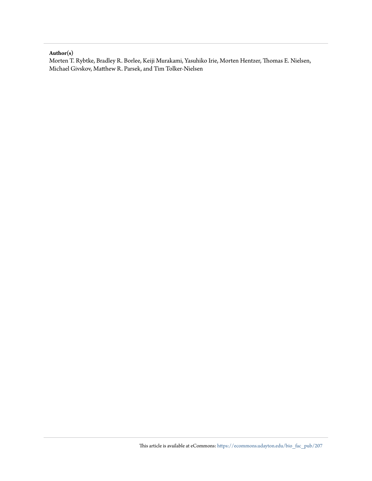#### **Author(s)**

Morten T. Rybtke, Bradley R. Borlee, Keiji Murakami, Yasuhiko Irie, Morten Hentzer, Thomas E. Nielsen, Michael Givskov, Matthew R. Parsek, and Tim Tolker-Nielsen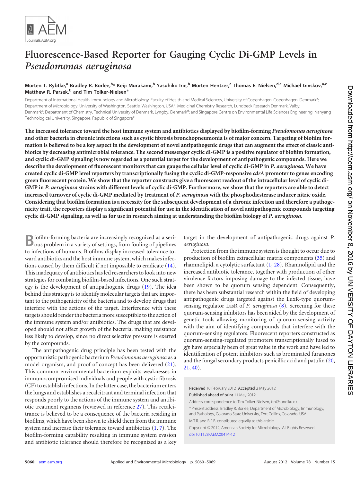

## **Fluorescence-Based Reporter for Gauging Cyclic Di-GMP Levels in** *Pseudomonas aeruginosa*

#### Morten T. Rybtke,<sup>a</sup> Bradley R. Borlee,<sup>b</sup>\* Keiji Murakami,<sup>b</sup> Yasuhiko Irie,<sup>b</sup> Morten Hentzer,<sup>c</sup> Thomas E. Nielsen,<sup>d.e</sup> Michael Givskov,<sup>a.e</sup> **Matthew R. Parsek, <sup>b</sup> and Tim Tolker-Nielsena**

Department of International Health, Immunology and Microbiology, Faculty of Health and Medical Sciences, University of Copenhagen, Copenhagen, Denmark<sup>a</sup>; ; Department of Microbiology, University of Washington, Seattle, Washington, USA<sup>b</sup>; Medicinal Chemistry Research, Lundbeck Research Denmark, Valby, Denmark<sup>c</sup>; Department of Chemistry, Technical University of Denmark, Lyngby, Denmark<sup>d</sup>; and Singapore Centre on Environmental Life Sciences Engineering, Nanyang Technological University, Singapore, Republic of Singapore<sup>6</sup>

**The increased tolerance toward the host immune system and antibiotics displayed by biofilm-forming** *Pseudomonas aeruginosa* **and other bacteria in chronic infections such as cystic fibrosis bronchopneumonia is of major concern. Targeting of biofilm formation is believed to be a key aspect in the development of novel antipathogenic drugs that can augment the effect of classic antibiotics by decreasing antimicrobial tolerance. The second messenger cyclic di-GMP is a positive regulator of biofilm formation, and cyclic di-GMP signaling is now regarded as a potential target for the development of antipathogenic compounds. Here we describe the development of fluorescent monitors that can gauge the cellular level of cyclic di-GMP in** *P. aeruginosa***. We have created cyclic di-GMP level reporters by transcriptionally fusing the cyclic di-GMP-responsive** *cdrA* **promoter to genes encoding green fluorescent protein. We show that the reporter constructs give a fluorescent readout of the intracellular level of cyclic di-GMP in** *P. aeruginosa* **strains with different levels of cyclic di-GMP. Furthermore, we show that the reporters are able to detect increased turnover of cyclic di-GMP mediated by treatment of** *P. aeruginosa* **with the phosphodiesterase inducer nitric oxide. Considering that biofilm formation is a necessity for the subsequent development of a chronic infection and therefore a pathogenicity trait, the reporters display a significant potential for use in the identification of novel antipathogenic compounds targeting cyclic di-GMP signaling, as well as for use in research aiming at understanding the biofilm biology of** *P. aeruginosa***.**

**B**iofilm-forming bacteria are increasingly recognized as a seri-<br>ous problem in a variety of settings, from fouling of pipelines to infections of humans. Biofilms display increased tolerance toward antibiotics and the host immune system, which makes infections caused by them difficult if not impossible to eradicate [\(14\)](#page-10-0). This inadequacy of antibiotics has led researchers to look into new strategies for combating biofilm-based infections. One such strategy is the development of antipathogenic drugs [\(19\)](#page-10-1). The idea behind this strategy is to identify molecular targets that are important to the pathogenicity of the bacteria and to develop drugs that interfere with the actions of the target. Interference with these targets should render the bacteria more susceptible to the action of the immune system and/or antibiotics. The drugs that are developed should not affect growth of the bacteria, making resistance less likely to develop, since no direct selective pressure is exerted by the compounds.

The antipathogenic drug principle has been tested with the opportunistic pathogenic bacterium *Pseudomonas aeruginosa* as a model organism, and proof of concept has been delivered [\(21\)](#page-10-2). This common environmental bacterium exploits weaknesses in immunocompromised individuals and people with cystic fibrosis (CF) to establish infections. In the latter case, the bacterium enters the lungs and establishes a recalcitrant and terminal infection that responds poorly to the actions of the immune system and antibiotic treatment regimens (reviewed in reference [27\)](#page-10-3). This recalcitrance is believed to be a consequence of the bacteria residing in biofilms, which have been shown to shield them from the immune system and increase their tolerance toward antibiotics [\(1,](#page-10-4) [7\)](#page-10-5). The biofilm-forming capability resulting in immune system evasion and antibiotic tolerance should therefore be recognized as a key

target in the development of antipathogenic drugs against *P. aeruginosa*.

Protection from the immune system is thought to occur due to production of biofilm extracellular matrix components [\(35\)](#page-11-0) and rhamnolipid, a cytolytic surfactant [\(1,](#page-10-4) [28\)](#page-10-6). Rhamnolipid and the increased antibiotic tolerance, together with production of other virulence factors imposing damage to the infected tissue, have been shown to be quorum sensing dependent. Consequently, there has been substantial research within the field of developing antipathogenic drugs targeted against the LuxR-type quorumsensing regulator LasR of *P. aeruginosa* [\(8\)](#page-10-7). Screening for these quorum-sensing inhibitors has been aided by the development of genetic tools allowing monitoring of quorum-sensing activity with the aim of identifying compounds that interfere with the quorum-sensing regulators. Fluorescent reporters constructed as quorum-sensing-regulated promoters transcriptionally fused to *gfp* have especially been of great value in the work and have led to identification of potent inhibitors such as brominated furanones and the fungal secondary products penicillic acid and patulin [\(20,](#page-10-8) [21,](#page-10-2) [40\)](#page-11-1).

Received 10 February 2012 Accepted 2 May 2012

Published ahead of print 11 May 2012

Address correspondence to Tim Tolker-Nielsen, ttn@sund.ku.dk.

\* Present address: Bradley R. Borlee, Department of Microbiology, Immunology, and Pathology, Colorado State University, Fort Collins, Colorado, USA.

M.T.R. and B.R.B. contributed equally to this article.

Copyright © 2012, American Society for Microbiology. All Rights Reserved. [doi:10.1128/AEM.00414-12](http://dx.doi.org/10.1128/AEM.00414-12)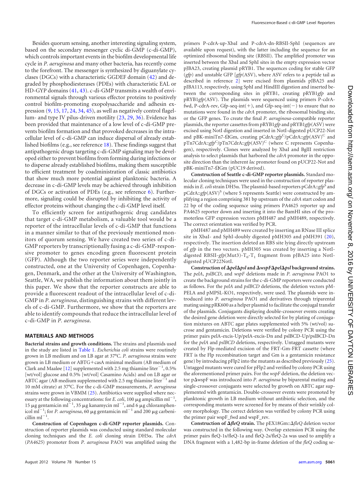Besides quorum sensing, another interesting signaling system, based on the secondary messenger cyclic di-GMP (c-di-GMP), which controls important events in the biofilm developmental life cycle in *P. aeruginosa* and many other bacteria, has recently come to the forefront. The messenger is synthesized by diguanylate cyclases (DGCs) with a characteristic GGDEF domain [\(42\)](#page-11-2) and degraded by phosphodiesterases (PDEs) with characteristic EAL or HD-GYP domains [\(41,](#page-11-3) [43\)](#page-11-4). c-di-GMP transmits a wealth of environmental signals through various effector proteins to positively control biofilm-promoting exopolysaccharide and adhesin expression [\(9,](#page-10-9) [15,](#page-10-10) [17,](#page-10-11) [24,](#page-10-12) [34,](#page-11-5) [45\)](#page-11-6), as well as negatively control flagellum- and type IV pilus-driven motility [\(23,](#page-10-13) [29,](#page-10-14) [36\)](#page-11-7). Evidence has been provided that maintenance of a low level of c-di-GMP prevents biofilm formation and that provoked decreases in the intracellular level of c-di-GMP can induce dispersal of already established biofilms (e.g., see reference [18\)](#page-10-15). These findings suggest that antipathogenic drugs targeting c-di-GMP signaling may be developed either to prevent biofilms from forming during infections or to disperse already established biofilms, making them susceptible to efficient treatment by coadministration of classic antibiotics that show much more potential against planktonic bacteria. A decrease in c-di-GMP levels may be achieved through inhibition of DGCs or activation of PDEs (e.g., see reference [6\)](#page-10-16). Furthermore, signaling could be disrupted by inhibiting the activity of effector proteins without changing the c-di-GMP level itself.

To efficiently screen for antipathogenic drug candidates that target c-di-GMP metabolism, a valuable tool would be a reporter of the intracellular levels of c-di-GMP that functions in a manner similar to that of the previously mentioned monitors of quorum sensing. We have created two series of c-di-GMP reporters by transcriptionally fusing a c-di-GMP-responsive promoter to genes encoding green fluorescent protein (GFP). Although the two reporter series were independently constructed, one at the University of Copenhagen, Copenhagen, Denmark, and the other at the University of Washington, Seattle, WA, we publish the information about them jointly in this paper. We show that the reporter constructs are able to provide a fluorescent readout of the intracellular level of c-di-GMP in *P. aeruginosa*, distinguishing strains with different levels of c-di-GMP. Furthermore, we show that the reporters are able to identify compounds that reduce the intracellular level of c-di-GMP in *P. aeruginosa*.

#### **MATERIALS AND METHODS**

**Bacterial strains and growth conditions.** The strains and plasmids used in the study are listed in [Table 1.](#page-4-0) *Escherichia coli* strains were routinely grown in LB medium and on LB agar at 37°C. *P. aeruginosa* strains were grown in LB medium or ABTG+casA minimal medium (AB medium of Clark and Maaløe [\[12\]](#page-10-17) supplemented with 2.5 mg thiamine liter $^{-1}$ , 0.5% [wt/vol] glucose and 0.5% [wt/vol] Casamino Acids) and on LB agar or ABTC agar (AB medium supplemented with 2.5 mg thiamine liter $^{-1}$  and 10 mM citrate) at 37°C. For the c-di-GMP measurements, *P. aeruginosa* strains were grown in VBMM [\(25\)](#page-10-18). Antibiotics were supplied where necessary at the following concentrations: for *E. coli*, 100  $\mu$ g ampicillin ml<sup>-1</sup>, 15  $\mu$ g gentamicin ml<sup>-1</sup>, 35  $\mu$ g kanamycin ml<sup>-1</sup>, and 6  $\mu$ g chloramphenicol ml<sup>-1</sup>; for *P. aeruginosa*, 60  $\mu$ g gentamicin ml<sup>-1</sup> and 200  $\mu$ g carbeni- $\text{cillin ml}^{-1}$ .

**Construction of Copenhagen c-di-GMP reporter plasmids.** Construction of reporter plasmids was conducted using standard molecular cloning techniques and the *E. coli* cloning strain DH5 $\alpha$ . The *cdrA* (*PA4625*) promoter from *P. aeruginosa* PAO1 was amplified using the primers P-cdrA-up-XbaI and P-cdrA-dn-RBSII-SphI (sequences are available upon request), with the latter including the sequence for an optimized ribosomal binding site (RBSII). The amplified promoter was inserted between the XbaI and SphI sites in the empty expression vector pJBA23, creating plasmid pRYB1. The sequences coding for stable GFP (*gfp*) and unstable GFP [*gfp*(ASV), where ASV refers to a peptide tail as described in reference [2\]](#page-10-19) were excised from plasmids pJBA25 and pJBA113, respectively, using SphI and HindIII digestion and inserted between the corresponding sites in pRYB1, creating pRYB1*gfp* and pRYB1*gfp*(ASV). The plasmids were sequenced using primers P-cdrAfwd, P-cdrA-rev, Gfp-seq-int $(+)$ , and Gfp-seq-int $(-)$  to ensure that no mutations were found in the *cdrA* promoter, the ribosomal binding site, or the GFP genes. To create the final *P. aeruginosa*-compatible reporter plasmids, the reporter cassettes from pRYB1*gfp* and pRYB1*gfp*(ASV) were excised using NotI digestion and inserted in NotI-digested pUCP22-Not and pBK-miniTn7-ΩGm, creating pCdrA::*gfp*<sup>C</sup>/pCdrA::*gfp*(ASV)<sup>C</sup> and pTn7CdrA::gfp<sup>C</sup>/pTn7CdrA::gfp(ASV)<sup>C</sup> (where C represents Copenhagen), respectively. Clones were analyzed by XbaI and BglII restriction analysis to select plasmids that harbored the *cdrA* promoter in the opposite direction than the inherent *lac* promoter found on pUCP22-Not and  $pBK-miniTn7-\Omega Gm$  (pUC19 derived).

**Construction of Seattle c-di-GMP reporter plasmids.** Standard molecular cloning techniques were used in the construction of reporter plasmids in *E. coli* strain DH5α. The plasmid-based reporters pCdrA::*gfp*<sup>S</sup> and pCdrA::*gfp*(ASV)<sup>S</sup> (where S represents Seattle) were constructed by amplifying a region comprising 381 bp upstream of the *cdrA* start codon and 22 bp of the coding sequence using primers PA4625 reporter up and PA4625 reporter down and inserting it into the BamHI sites of the promoterless GFP expression vectors pMH487 and pMH489, respectively. The correct orientation was verified by PCR.

pMH487 and pMH489 were created by inserting an RNase III splice site in XbaI- and SphI-doubly digested pMH305 and pMH391 [\(20\)](#page-10-8), respectively. The insertion deleted an RBS site lying directly upstream of *gfp* in the two vectors. pMH305 was created by inserting a NotIdigested RBSII-gfp(Mut3)-T<sub>0</sub>-T<sub>1</sub> fragment from pJBA25 into NotIdigested pUCP22NotI.

Construction of  $\Delta pel\Delta psl$  and  $\Delta wspF\Delta pel\Delta psl$  background strains. The *pelA*, *pslBCD*, and *wspF* deletions made in *P. aeruginosa* PAO1 to create the background strains for the c-di-GMP reporters were conducted as follows. For the *pelA* and *pslBCD* deletions, the deletion vectors pM-PELA and pMPSL-KO1, respectively, were used. The plasmids were introduced into *P. aeruginosa* PAO1 and derivatives through triparental mating using pRK600 as a helper plasmid to facilitate the conjugal transfer of the plasmids. Conjugants displaying double-crossover events creating the desired gene deletion were directly selected for by plating of conjugation mixtures on ABTC agar plates supplemented with 5% (wt/vol) sucrose and gentamicin. Deletions were verified by colony PCR using the primer pairs pelA-excis-Up/pelA-excis-Dn and pslBCD-Up/pslBCD-Dn for the *pelA* and *pslBCD* deletions, respectively. Untagged mutants were created by Flp-mediated excision of the FRT-Gm-FRT cassette (where FRT is the Flp recombination target and Gm is a gentamicin resistance gene) by introducing pFlp2 into the mutants as described previously [\(25\)](#page-10-18). Untagged mutants were cured for pFlp2 and verified by colony PCR using the aforementioned primer pairs. For the *wspF* deletion, the deletion vector p $\Delta$ wspF was introduced into *P. aeruginosa* by biparental mating and single-crossover conjugants were selected by growth on ABTC agar supplemented with gentamicin. Double-crossover events were promoted by planktonic growth in LB medium without antibiotic selection, and the corresponding mutants were screened for by means of their wrinkly colony morphology. The correct deletion was verified by colony PCR using the primer pair wspF\_fwd and wspF\_rev.

**Construction of** *fleQ* **strain.** The pEX18Gm::*fleQ* deletion vector was constructed in the following way. Overlap extension PCR using the primer pairs fleQ-1s/fleQ-1a and fleQ-2s/fleQ-2a was used to amplify a DNA fragment with a 1,482-bp in-frame deletion of the *fleQ* coding se-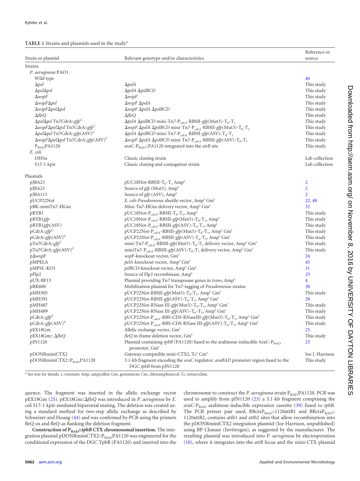#### <span id="page-4-0"></span>**TABLE 1** Strains and plasmids used in the study*<sup>a</sup>*

| Strain or plasmid                                                      | Relevant genotype and/or characteristics                                                                                     | Reference or<br>source  |
|------------------------------------------------------------------------|------------------------------------------------------------------------------------------------------------------------------|-------------------------|
| Strains                                                                |                                                                                                                              |                         |
| P. aeruginosa PAO1                                                     |                                                                                                                              |                         |
| Wild type                                                              |                                                                                                                              | 46                      |
| $\Delta$ pel                                                           | $\Delta$ pelA                                                                                                                | This study              |
| $\Delta$ pel $\Delta$ psl                                              | $\Delta$ pelA $\Delta$ pslBCD                                                                                                | This study              |
| $\Delta wspF$                                                          | $\Delta wspF$                                                                                                                | This study              |
| $\Delta$ wsp $F\Delta$ pel                                             | $\Delta wspF \Delta pelA$                                                                                                    | This study              |
| $\Delta$ wspF $\Delta$ pel $\Delta$ psl                                | $\Delta$ wspF $\Delta$ pelA $\Delta$ pslBCD                                                                                  | This study              |
| $\Delta$ fleQ                                                          | $\Delta$ fleQ                                                                                                                | This study              |
| $\Delta$ pel $\Delta$ psl Tn7CdrA::gfp <sup>C</sup>                    | $\Delta$ pelA $\Delta$ pslBCD mini-Tn7-P <sub>cdrA</sub> -RBSII-gfp(Mut3)-T <sub>0</sub> -T <sub>1</sub>                     | This study              |
| $\Delta$ wspF $\Delta$ pel $\Delta$ psl Tn7CdrA::gfp $\rm{G}$          | $\Delta$ wspF $\Delta$ pelA $\Delta$ pslBCD mini-Tn7-P <sub>cdrA</sub> -RBSII-gfp(Mut3)-T <sub>0</sub> -T <sub>1</sub>       | This study              |
| $\Delta$ pel $\Delta$ psl Tn7CdrA::gfp(ASV) <sup>C</sup>               | $\Delta$ pelA $\Delta$ pslBCD mini-Tn7-P <sub>cdrA</sub> -RBSII-gfp(ASV)-T <sub>0</sub> -T <sub>1</sub>                      | This study              |
| $\Delta$ wspF $\Delta$ pel $\Delta$ psl Tn7CdrA::gfp(ASV) <sup>C</sup> | $\Delta$ wspF $\Delta$ pelA $\Delta$ pslBCD mini-Tn7-P <sub>cdrA</sub> -RBSII-gfp(ASV)-T <sub>0</sub> -T <sub>1</sub>        | This study              |
| $P_{BAD}$ PA1120                                                       | araC- $P_{\text{BAD}}::PA1120$ integrated into the attB site                                                                 | This study              |
| E. coli                                                                |                                                                                                                              |                         |
| $DH5\alpha$                                                            | Classic cloning strain                                                                                                       | Lab collection          |
| $S17-1$ $\lambda$ pir                                                  | Classic cloning and conjugation strain                                                                                       | Lab collection          |
| Plasmids                                                               |                                                                                                                              |                         |
| $p$ JBA23                                                              | $pUC18Not-RBSII-T0-T1 Ampr$                                                                                                  | $\overline{2}$          |
| $p$ JBA25                                                              | Source of $gfp$ (Mut3), Amp <sup>r</sup>                                                                                     | $\overline{2}$          |
| $p$ JBA113                                                             | Source of $gfp$ (ASV), Amp <sup>r</sup>                                                                                      | $\overline{2}$          |
| pUCP22Not                                                              | E. coli-Pseudomonas shuttle vector, Amp <sup>r</sup> Gm <sup>r</sup>                                                         | 22, 48                  |
| $pBK-minTn7-\Omega Gm$                                                 | Mini-Tn7- $\Omega$ Gm delivery vector, Amp <sup>r</sup> Gm <sup>r</sup>                                                      | 32                      |
| pRYB1                                                                  | pUC18Not-P <sub>cdrA</sub> -RBSII-T <sub>0</sub> -T <sub>1</sub> , Amp <sup>r</sup>                                          | This study              |
| pRYB1gfp                                                               | pUC18Not-P <sub>cdrA</sub> -RBSII-gfp(Mut3)-T <sub>0</sub> -T <sub>1</sub> , Amp <sup>r</sup>                                | This study              |
| pRYBlgfp(ASV)                                                          | pUC18Not-P <sub>cdrA</sub> -RBSII-gfp(ASV)-T <sub>0</sub> -T <sub>1</sub> , Amp <sup>r</sup>                                 | This study              |
| $pCdrA::gfp^C$                                                         | pUCP22Not-P <sub>cdrA</sub> -RBSII-gfp(Mut3)-T <sub>0</sub> -T <sub>1</sub> , Amp <sup>r</sup> Gm <sup>r</sup>               | This study              |
| $pCdrA::gfp(ASV)^C$                                                    | pUCP22Not-P <sub>cdrA</sub> -RBSII-gfp(ASV)-T <sub>0</sub> -T <sub>1</sub> , Amp <sup>r</sup> Gm <sup>r</sup>                | This study              |
| $pTn7CdrA::gfpC}$                                                      | mini-Tn7-P <sub>cdrA</sub> -RBSII-gfp(Mut3)-T <sub>0</sub> -T <sub>1</sub> delivery vector, Amp <sup>r</sup> Gm <sup>r</sup> | This study              |
| pTn7CdrA::gfp(ASV) <sup>C</sup>                                        | miniTn7-P <sub>cdrA</sub> -RBSII-gfp(ASV)-T <sub>0</sub> -T <sub>1</sub> delivery vector, Amp <sup>r</sup> Gm <sup>r</sup>   | This study              |
| $p\Delta wspF$                                                         | wspF-knockout vector, Gm <sup>r</sup>                                                                                        | 24                      |
| pMPELA                                                                 | pelA-knockout vector, Amp <sup>r</sup> Gm <sup>r</sup>                                                                       | 45                      |
| pMPSL-KO1                                                              | pslBCD-knockout vector, Amp <sup>r</sup> Gm <sup>r</sup>                                                                     | 31                      |
| pFlp2                                                                  | Source of Flp2 recombinase, Amp <sup>r</sup>                                                                                 | 25                      |
| pUX-BF13                                                               | Plasmid providing Tn7 transposase genes in trans, Amp <sup>r</sup>                                                           | $\overline{\mathbf{4}}$ |
| pRK600                                                                 | Mobilization plasmid for Tn7-tagging of <i>Pseudomonas</i> strains                                                           | 30                      |
| pMH305                                                                 | pUCP22Not-RBSII-gfp(Mut3)-T <sub>0</sub> -T <sub>1</sub> , Amp <sup>r</sup> Gm <sup>r</sup>                                  | This study              |
| pMH391                                                                 | pUCP22Not-RBSII-gfp(ASV)-T <sub>0</sub> -T <sub>1</sub> , Amp <sup>r</sup> Gm <sup>r</sup>                                   | 20                      |
| pMH487                                                                 | pUCP22Not-RNase III-gfp(Mut3)-T <sub>0</sub> -T <sub>1</sub> , Amp <sup>r</sup> Gm <sup>r</sup>                              | This study              |
| pMH489                                                                 | pUCP22Not-RNase III-gfp(ASV)-T <sub>0</sub> -T <sub>1</sub> , Amp <sup>r</sup> Gm <sup>r</sup>                               | This study              |
| pCdrA::gfp <sup>S</sup>                                                | pUCP22Not-P <sub>cdrA</sub> -RBS-CDS-RNaseIII-gfp(Mut3)-T <sub>0</sub> -T <sub>1</sub> , Amp <sup>r</sup> Gm <sup>r</sup>    | This study              |
| $\operatorname{pCdrA::gfp}(\mathrm{ASV})^{\mathrm{S}}$                 | pUCP22Not-P <sub>cdrA</sub> -RBS-CDS-RNase III-gfp(ASV)-T <sub>0</sub> -T <sub>1</sub> , Amp <sup>r</sup> Gm <sup>1</sup>    | This study              |
| pEX18Gm                                                                | Allelic exchange vector, Gm <sup>r</sup>                                                                                     | 25                      |
| pEX18Gm:: ΔfleQ                                                        | fleQ in-frame deletion vector, Gm <sup>r</sup>                                                                               | This study              |
| pJN1120                                                                | Plasmid containing tpbB (PA1120) fused to the arabinose-inducible AraC-P <sub>BAD</sub>                                      | 23                      |
|                                                                        | promoter, Gm <sup>r</sup>                                                                                                    |                         |
| pDONRminiCTX2                                                          | Gateway-compatible mini-CTX2, Tc' Cm'                                                                                        | Joe J. Harrison         |
| pDONRminiCTX2::P <sub>BAD</sub> PA1120                                 | 3.1-kb fragment encoding the <i>araC</i> regulator, <i>araBAD</i> promoter region fused to the                               | This study              |
|                                                                        | DGC tpbB from pJN1120                                                                                                        |                         |

*<sup>a</sup>* See text for details. r, resistant; Amp, ampicillin; Gm, gentamicin; Cm, chloramphenicol; Tc, tetracycline.

quence. The fragment was inserted in the allelic exchange vector pEX18Gm [\(25\)](#page-10-18). pEX18Gm::*fleQ* was introduced in *P. aeruginosa* by *E. coli* S17-1 λpir-mediated biparental mating. The deletion was created using a standard method for two-step allelic exchange as described by Schweizer and Hoang [\(44\)](#page-11-8) and was confirmed by PCR using the primers fleQ-os and fleQ-as flanking the deletion fragment.

**Construction of P<sub>BAD</sub>:***:tpbB* **CTX chromosomal insertion.** The integration plasmid pDONRminiCTX2:: P<sub>BAD</sub>PA1120 was engineered for the conditional expression of the DGC TpbB (PA1120) and inserted into the chromosome to construct the *P. aeruginosa* strain P<sub>BAD</sub>PA1120. PCR was used to amplify from pJN1120 [\(23\)](#page-10-13) a 3.1-kb fragment comprising the  $araC-P<sub>BAD</sub>$  arabinose-inducible expression cassette [\(39\)](#page-11-9) fused to *tpbB*. The PCR primer pair used,  $BBctxP_{BAD}$ ::1120attB1 and  $BBctxP_{BAD}$ :: 1120attB2, contains attb1 and attb2 sites that allow recombination into the pDONRminiCTX2 integration plasmid (Joe Harrison, unpublished) using BP Clonase (Invitrogen), as suggested by the manufacturer. The resulting plasmid was introduced into *P. aeruginosa* by electroporation [\(10\)](#page-10-20), where it integrates into the *attB* locus and the mini-CTX plasmid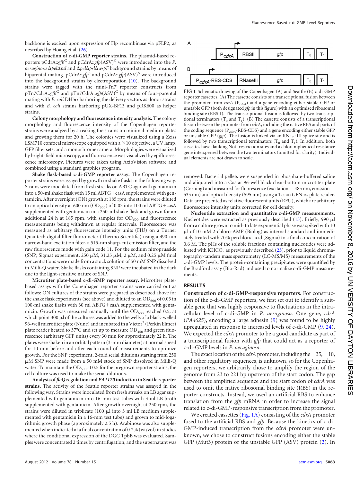backbone is excised upon expression of Flp recombinase via pFLP2, as described by Hoang et al. [\(26\)](#page-10-24).

**Construction of c-di-GMP reporter strains.** The plasmid-based reporters pCdrA::*gfp*<sup>C</sup> and pCdrA::*gfp*(ASV)<sup>C</sup> were introduced into the *P*. *aeruginosa pelpsl* and *pelpslwspF* background strains by means of biparental mating. pCdrA::*gfp*<sup>S</sup> and pCdrA::*gfp*(ASV)<sup>S</sup> were introduced into the background strains by electroporation [\(10\)](#page-10-20). The background strains were tagged with the mini-Tn*7* reporter constructs from pTn7CdrA::*gfp*<sup>C</sup> and pTn7CdrA::*gfp*(ASV)<sup>C</sup> by means of four-parental mating with  $E.$   $\text{coli}$  DH5 $\alpha$  harboring the delivery vectors as donor strains and with *E. coli* strains harboring pUX-BF13 and pRK600 as helper strains.

**Colony morphology and fluorescence intensity analysis.** The colony morphology and fluorescence intensity of the Copenhagen reporter strains were analyzed by streaking the strains on minimal medium plates and growing them for 20 h. The colonies were visualized using a Zeiss LSM710 confocal microscope equipped with a  $\times$ 10 objective, a UV lamp, GFP filter sets, and a monochrome camera. Morphologies were visualized by bright-field microscopy, and fluorescence was visualized by epifluorescence microscopy. Pictures were taken using AxioVision software and combined using a standard graphics program.

**Shake flask-based c-di-GMP reporter assay.** The Copenhagen reporter strains were assayed by growth in shake flasks in the following way. Strains were inoculated from fresh streaks on ABTC agar with gentamicin into a 50-ml shake flask with 15 ml ABTG+casA supplemented with gentamicin. After overnight (ON) growth at 185 rpm, the strains were diluted to an optical density at 600 nm ( $OD<sub>600</sub>$ ) of 0.03 into 100 ml ABTG+casA supplemented with gentamicin in a 250-ml shake flask and grown for an additional 24 h at 185 rpm, with samples for  $OD_{600}$  and fluorescence measurements being withdrawn at regular intervals. Fluorescence was measured as arbitrary fluorescence intensity units (FIU) on a Turner Quantech digital filter fluorometer (Thermo Scientific) using a 490-nm narrow-band excitation filter, a 515-nm sharp-cut emission filter, and the raw fluorescence mode with gain code 11. For the sodium nitroprusside (SNP; Sigma) experiment, 250  $\mu$ M, 31.25  $\mu$ M, 2  $\mu$ M, and 0.25  $\mu$ M final concentrations were made from a stock solution of 50 mM SNP dissolved in Milli-Q water. Shake flasks containing SNP were incubated in the dark due to the light-sensitive nature of SNP.

**Microtiter plate-based c-di-GMP reporter assay.** Microtiter platebased assays with the Copenhagen reporter strains were carried out as follows: ON cultures of the strains were prepared as described above for the shake flask experiments (see above) and diluted to an  $OD_{600}$  of 0.03 in 100-ml shake flasks with 30 ml ABTG+casA supplemented with gentamicin. Growth was measured manually until the  $OD<sub>600</sub>$  reached 0.5, at which point 300  $\mu$ l of the cultures was added to the wells of a black-welled 96-well microtiter plate (Nunc) and incubated in a Victor<sup>2</sup> (Perkin Elmer) plate reader heated to 37°C and set up to measure  $OD_{450}$  and green fluorescence (arbitrary GFP units) every 30 min for approximately 22 h. The plates were shaken in an orbital pattern (3-mm diameter) at normal speed for 10 min before and after each round of measurements to optimize growth. For the SNP experiment, 2-fold serial dilutions starting from 250 M SNP were made from a 50 mM stock of SNP dissolved in Milli-Q water. To maintain the  $OD_{600}$  at 0.5 for the pregrown reporter strains, the cell culture was used to make the serial dilutions.

**Analysis of** *fleQ***regulation and***PA1120* **inductionin Seattle reporter strains.** The activity of the Seattle reporter strains was assayed in the following way. Strains were inoculated from fresh streaks on LB agar supplemented with gentamicin into 16-mm test tubes with 3 ml LB broth supplemented with gentamicin. After growth overnight at 250 rpm, the strains were diluted in triplicate (100  $\mu$ l into 3 ml LB medium supplemented with gentamicin in a 16-mm test tube) and grown to mid-logarithmic growth phase (approximately 2.5 h). Arabinose was also supplemented when indicated at a final concentration of 0.2% (wt/vol) in studies where the conditional expression of the DGC TpbB was evaluated. Samples were concentrated 2 times by centrifugation, and the supernatant was



<span id="page-5-0"></span>**FIG 1** Schematic drawing of the Copenhagen (A) and Seattle (B) c-di-GMP reporter cassettes. (A) The cassette consists of a transcriptional fusion between the promoter from *cdrA* (P*cdrA*) and a gene encoding either stable GFP or unstable GFP (both designated *gfp* in this figure) with an optimized ribosomal binding site (RBSII). The transcriptional fusion is followed by two transcriptional terminators  $(T_0$  and  $T_1$ ). (B) The cassette consists of a transcriptional fusion between the promoter from *cdrA*, including the native RBS and parts of the coding sequence (P*cdrA*-RBS-CDS) and a gene encoding either stable GFP or unstable GFP (*gfp*). The fusion is linked via an RNase III splice site and is followed by two transcriptional terminators  $(T_0$  and  $T_1$ ). In addition, both cassettes have flanking NotI restriction sites and a chloramphenicol resistance gene interspersed between the two terminators (omitted for clarity). Individual elements are not drawn to scale.

removed. Bacterial pellets were suspended in phosphate-buffered saline and aliquoted into a Costar 96-well black clear-bottom microtiter plate (Corning) and measured for fluorescence (excitation  $=$  485 nm, emission  $=$ 535 nm) and optical density (595 nm) using a Tecan GENios plate reader. Data are presented as relative fluorescent units (RFU), which are arbitrary fluorescence intensity units corrected for cell density.

**Nucleotide extraction and quantitative c-di-GMP measurements.** Nucleotides were extracted as previously described  $(13)$ . Briefly, 990  $\mu$ l from a culture grown to mid- to late exponential phase was spiked with 10 ul of 10 mM 2-chloro-AMP (Biolog) as internal standard and immediately treated with 70% perchloric acid (Sigma) to a final concentration of 0.6 M. The pHs of the soluble fractions containing nucleotides were adjusted with  $KHCO<sub>3</sub>$  as previously described [\(23\)](#page-10-13), prior to liquid chromatography-tandem mass spectrometry (LC-MS/MS) measurements of the c-di-GMP levels. The protein-containing precipitates were quantified by the Bradford assay (Bio-Rad) and used to normalize c-di-GMP measurements.

#### **RESULTS**

**Construction of c-di-GMP-responsive reporters.** For construction of the c-di-GMP reporters, we first set out to identify a suitable gene that was highly responsive to fluctuations in the intracellular level of c-di-GMP in *P. aeruginosa*. One gene, *cdrA* (*PA4625*), encoding a large adhesin [\(9\)](#page-10-9) was found to be highly upregulated in response to increased levels of c-di-GMP [\(9,](#page-10-9) [24\)](#page-10-12). We expected the *cdrA* promoter to be a good candidate as part of a transcriptional fusion with *gfp* that could act as a reporter of c-di-GMP levels in *P. aeruginosa*.

The exact location of the *cdrA* promoter, including the  $-35$ ,  $-10$ , and other regulatory sequences, is unknown, so for the Copenhagen reporters, we arbitrarily chose to amplify the region of the genome from 23 to 221 bp upstream of the start codon. The gap between the amplified sequence and the start codon of *cdrA* was used to omit the native ribosomal binding site (RBS) in the reporter constructs. Instead, we used an artificial RBS to enhance translation from the *gfp* mRNA in order to increase the signal related to c-di-GMP-responsive transcription from the promoter.

We created cassettes [\(Fig. 1A\)](#page-5-0) consisting of the *cdrA* promoter fused to the artificial RBS and *gfp*. Because the kinetics of c-di-GMP-induced transcription from the *cdrA* promoter were unknown, we chose to construct fusions encoding either the stable GFP (Mut3) protein or the unstable GFP (ASV) protein [\(2\)](#page-10-19). In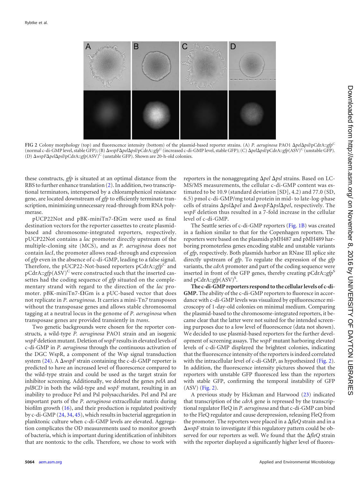

<span id="page-6-0"></span>**FIG 2** Colony morphology (top) and fluorescence intensity (bottom) of the plasmid-based reporter strains. (A) *P. aeruginosa* PAO1 *pelpsl*/pCdrA::*gfp*<sup>C</sup> (normal c-di-GMP level, stable GFP); (B)  $\Delta wspF\Delta pel\Delta psl/pCdrA::gfp^C$  (increased c-di-GMP level, stable GFP); (C)  $\Delta pel\Delta psl/pCdrA::gfp(ASV)^C$  (unstable GFP). (D) ΔwspFΔpelΔpsl/pCdrA::gfp(ASV)<sup>C</sup> (unstable GFP). Shown are 20-h-old colonies.

these constructs, *gfp* is situated at an optimal distance from the RBS to further enhance translation [\(2\)](#page-10-19). In addition, two transcriptional terminators, interspersed by a chloramphenicol resistance gene, are located downstream of *gfp* to efficiently terminate transcription, minimizing unnecessary read-through from RNA polymerase.

 $pUCP22Not$  and  $pBK-miniTn7-QGm$  were used as final destination vectors for the reporter cassettes to create plasmidbased and chromosome-integrated reporters, respectively. pUCP22Not contains a *lac* promoter directly upstream of the multiple-cloning site (MCS), and as *P. aeruginosa* does not contain *lacI*, the promoter allows read-through and expression of *gfp* even in the absence of c-di-GMP, leading to a false signal. Therefore, the pUCP22-Not-based reporters pCdrA::*gfp*<sup>C</sup> and pCdrA::*gfp*(ASV)<sup>C</sup> were constructed such that the inserted cassettes had the coding sequence of *gfp* situated on the complementary strand with regard to the direction of the *lac* promoter. pBK-miniTn7- $\Omega$ Gm is a pUC-based vector that does not replicate in *P. aeruginosa*. It carries a mini-Tn*7* transposon without the transposase genes and allows stable chromosomal tagging at a neutral locus in the genome of *P. aeruginosa* when transposase genes are provided transiently in *trans*.

Two genetic backgrounds were chosen for the reporter constructs, a wild-type *P. aeruginosa* PAO1 strain and an isogenic *wspF* deletion mutant. Deletion of*wspF* results in elevated levels of c-di-GMP in *P. aeruginosa* through the continuous activation of the DGC WspR, a component of the Wsp signal transduction system  $(24)$ . A  $\Delta wspF$  strain containing the c-di-GMP reporter is predicted to have an increased level of fluorescence compared to the wild-type strain and could be used as the target strain for inhibitor screening. Additionally, we deleted the genes *pelA* and *pslBCD* in both the wild-type and *wspF* mutant, resulting in an inability to produce Pel and Psl polysaccharides. Pel and Psl are important parts of the *P. aeruginosa* extracellular matrix during biofilm growth [\(16\)](#page-10-26), and their production is regulated positively by c-di-GMP [\(24,](#page-10-12) [34,](#page-11-5) [45\)](#page-11-6), which results in bacterial aggregation in planktonic culture when c-di-GMP levels are elevated. Aggregation complicates the OD measurements used to monitor growth of bacteria, which is important during identification of inhibitors that are nontoxic to the cells. Therefore, we chose to work with

reporters in the nonaggregating  $\Delta$ *pel*  $\Delta$ *psl* strains. Based on LC-MS/MS measurements, the cellular c-di-GMP content was estimated to be 10.9 (standard deviation [SD], 4.2) and 77.0 (SD, 6.5) pmol c-di-GMP/mg total protein in mid- to late-log-phase cells of strains *pslpel* and *wspFpslpel*, respectively. The *wspF* deletion thus resulted in a 7-fold increase in the cellular level of c-di-GMP.

The Seattle series of c-di-GMP reporters [\(Fig. 1B\)](#page-5-0) was created in a fashion similar to that for the Copenhagen reporters. The reporters were based on the plasmids pMH487 and pMH489 harboring promoterless genes encoding stable and unstable variants of *gfp*, respectively. Both plasmids harbor an RNase III splice site directly upstream of *gfp*. To regulate the expression of the *gfp* variants, the *cdrA* promoter and part of the coding sequence were inserted in front of the GFP genes, thereby creating pCdrA::*gfp*<sup>S</sup> and pCdrA::gfp(ASV)<sup>S</sup>.

**The c-di-GMP reporters respond to the cellular levels of c-di-GMP.** The ability of the c-di-GMP reporters to fluoresce in accordance with c-di-GMP levels was visualized by epifluorescence microscopy of 1-day-old colonies on minimal medium. Comparing the plasmid-based to the chromosome-integrated reporters, it became clear that the latter were not suited for the intended screening purposes due to a low level of fluorescence (data not shown). We decided to use plasmid-based reporters for the further development of screening assays. The *wspF* mutant harboring elevated levels of c-di-GMP displayed the brightest colonies, indicating that the fluorescence intensity of the reporters is indeed correlated with the intracellular level of c-di-GMP, as hypothesized [\(Fig. 2\)](#page-6-0). In addition, the fluorescence intensity pictures showed that the reporters with unstable GFP fluoresced less than the reporters with stable GFP, confirming the temporal instability of GFP (ASV) [\(Fig. 2\)](#page-6-0).

A previous study by Hickman and Harwood [\(23\)](#page-10-13) indicated that transcription of the *cdrA* gene is repressed by the transcriptional regulator FleQ in *P. aeruginosa* and that c-di-GMP can bind to the FleQ regulator and cause derepression, releasing FleQ from the promoter. The reporters were placed in a *fleQ* strain and in a *wspF* strain to investigate if this regulatory pattern could be observed for our reporters as well. We found that the  $\Delta f \, le \, Q$  strain with the reporter displayed a significantly higher level of fluores-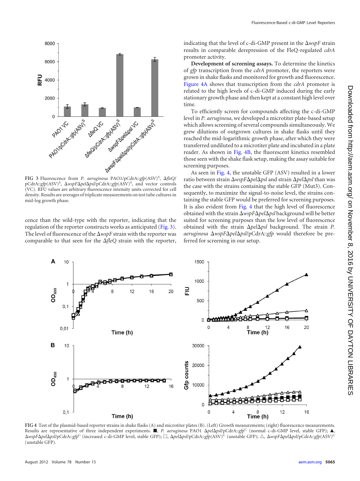

<span id="page-7-0"></span>FIG 3 Fluorescence from *P. aeruginosa* PAO1/pCdrA::gfp(ASV)<sup>S</sup>, ΔfleQ/ pCdrA::gfp(ASV)<sup>S</sup>,  $\Delta$ *wspF* $\Delta$ *pel* $\Delta$ *psl/pCdrA::gfp*(ASV)<sup>S</sup>, and vector controls (VC). RFU values are arbitrary fluorescence intensity units corrected for cell density. Results are averages of triplicate measurements on test tube cultures in mid-log growth phase.

cence than the wild-type with the reporter, indicating that the regulation of the reporter constructs works as anticipated [\(Fig. 3\)](#page-7-0). The level of fluorescence of the  $\Delta wspF$  strain with the reporter was comparable to that seen for the  $\Delta f \neq Q$  strain with the reporter, indicating that the level of c-di-GMP present in the  $\Delta wspF$  strain results in comparable derepression of the FleQ-regulated *cdrA* promoter activity.

**Development of screening assays.** To determine the kinetics of *gfp* transcription from the *cdrA* promoter, the reporters were grown in shake flasks and monitored for growth and fluorescence. [Figure 4A](#page-7-1) shows that transcription from the *cdrA* promoter is related to the high levels of c-di-GMP induced during the early stationary growth phase and then kept at a constant high level over time.

To efficiently screen for compounds affecting the c-di-GMP level in *P. aeruginosa*, we developed a microtiter plate-based setup which allows screening of several compounds simultaneously. We grew dilutions of outgrown cultures in shake flasks until they reached the mid-logarithmic growth phase, after which they were transferred undiluted to a microtiter plate and incubated in a plate reader. As shown in [Fig. 4B,](#page-7-1) the fluorescent kinetics resembled those seen with the shake flask setup, making the assay suitable for screening purposes.

As seen in [Fig. 4,](#page-7-1) the unstable GFP (ASV) resulted in a lower ratio between strain  $\Delta$ *wspF* $\Delta$ *pel* $\Delta$ *psl* and strain  $\Delta$ *pel* $\Delta$ *psl* than was the case with the strains containing the stable GFP (Mut3). Consequently, to maximize the signal-to-noise level, the strains containing the stable GFP would be preferred for screening purposes. It is also evident from [Fig. 4](#page-7-1) that the high level of fluorescence obtained with the strain *wspFpelpsl* background will be better suited for screening purposes than the low level of fluorescence obtained with the strain  $\Delta pe \Delta psl$  background. The strain *P*. *aeruginosa* ΔwspFΔpelΔpsl/pCdrA::*gfp* would therefore be preferred for screening in our setup.



<span id="page-7-1"></span>**FIG 4** Test of the plasmid-based reporter strains in shake flasks (A) and microtiter plates (B). (Left) Growth measurements; (right) fluorescence measurements. Results are representative of three independent experiments. ■, P. aeruginosa PAO1  $\Delta pel\Delta psl/pCdrA::gfp<sup>C</sup>$  (normal c-di-GMP level, stable GFP); ▲, *wspFpelpsl*/pCdrA::*gfp*<sup>C</sup> (increased c-di-GMP level, stable GFP); , *pelpsl*/pCdrA::*gfp*(ASV)C (unstable GFP); o, *wspFpelpsl*/pCdrA::*gfp*(ASV)C (unstable GFP).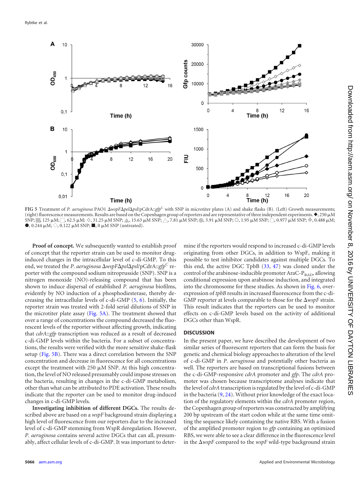

<span id="page-8-0"></span>**FIG 5** Treatment of *P. aeruginosa* PAO1 *wspFpelpsl*/pCdrA::*gfp*<sup>C</sup> with SNP in microtiter plates (A) and shake flasks (B). (Left) Growth measurements; (right) fluorescence measurements. Results are based on the Copenhagen group of reporters and are representative of three independent experiments.  $\blacklozenge$ , 250 µM  $\mathrm{SNP};$   $\,$ , 125  $\mu\mathrm{M};$   $\,$   $\mathrm{G}$ , 62.5  $\mu\mathrm{M};$   $\Diamond$ , 31.25  $\mu\mathrm{M}$  SNP;  $\Diamond$ , 15.63  $\mu\mathrm{M}$  SNP;  $\bigtriangleup$ , 7.81  $\mu\mathrm{M}$  SNP;  $\bigcirc$ , 3.91  $\mu\mathrm{M}$  SNP;  $\bigcirc$ , 1.95  $\mu\mathrm{M}$  SNP;  $\bigcirc$ , 0.977  $\mu\mathrm{M}$  SNP;  $\bullet$ , 0.244  $\mu$ M;  $\Diamond$ , 0.122  $\mu$ M SNP;  $\blacksquare$ , 0  $\mu$ M SNP (untreated).

**Proof of concept.** We subsequently wanted to establish proof of concept that the reporter strain can be used to monitor druginduced changes in the intracellular level of c-di-GMP. To this end, we treated the *P. aeruginosa*  $\Delta$ *wspF* $\Delta$ *pel* $\Delta$ *psl*/pCdrA::*gfp*<sup>C</sup> reporter with the compound sodium nitroprusside (SNP). SNP is a nitrogen monoxide (NO)-releasing compound that has been shown to induce dispersal of established *P. aeruginosa* biofilms, evidently by NO induction of a phosphodiesterase, thereby decreasing the intracellular levels of c-di-GMP [\(5,](#page-10-27) [6\)](#page-10-16). Initially, the reporter strain was treated with 2-fold serial dilutions of SNP in the microtiter plate assay [\(Fig. 5A\)](#page-8-0). The treatment showed that over a range of concentrations the compound decreased the fluorescent levels of the reporter without affecting growth, indicating that *cdrA*::*gfp* transcription was reduced as a result of decreased c-di-GMP levels within the bacteria. For a subset of concentrations, the results were verified with the more sensitive shake-flask setup [\(Fig. 5B\)](#page-8-0). There was a direct correlation between the SNP concentration and decrease in fluorescence for all concentrations except the treatment with 250  $\mu$ M SNP. At this high concentration, the level of NO released presumably could impose stresses on the bacteria, resulting in changes in the c-di-GMP metabolism, other than what can be attributed to PDE activation. These results indicate that the reporter can be used to monitor drug-induced changes in c-di-GMP levels.

**Investigating inhibition of different DGCs.** The results described above are based on a *wspF* background strain displaying a high level of fluorescence from our reporters due to the increased level of c-di-GMP stemming from WspR deregulation. However, *P. aeruginosa* contains several active DGCs that can all, presumably, affect cellular levels of c-di-GMP. It was important to deter-

mine if the reporters would respond to increased c-di-GMP levels originating from other DGCs, in addition to WspF, making it possible to test inhibitor candidates against multiple DGCs. To this end, the active DGC TpbB [\(33,](#page-11-14) [47\)](#page-11-15) was cloned under the control of the arabinose-inducible promoter AraC- $P_{\text{BAD}}$ , allowing conditional expression upon arabinose induction, and integrated into the chromosome for these studies. As shown in [Fig. 6,](#page-9-0) overexpression of *tpbB* results in increased fluorescence from the c-di-GMP reporter at levels comparable to those for the  $\Delta wspF$  strain. This result indicates that the reporters can be used to monitor effects on c-di-GMP levels based on the activity of additional DGCs other than WspR.

#### **DISCUSSION**

In the present paper, we have described the development of two similar series of fluorescent reporters that can form the basis for genetic and chemical biology approaches to alteration of the level of c-di-GMP in *P. aeruginosa* and potentially other bacteria as well. The reporters are based on transcriptional fusions between the c-di-GMP-responsive *cdrA* promoter and *gfp*. The *cdrA* promoter was chosen because transcriptome analyses indicate that the level of*cdrA*transcription is regulated by the level of c-di-GMP in the bacteria [\(9,](#page-10-9) [24\)](#page-10-12). Without prior knowledge of the exact location of the regulatory elements within the *cdrA* promoter region, the Copenhagen group of reporters was constructed by amplifying 200 bp upstream of the start codon while at the same time omitting the sequence likely containing the native RBS. With a fusion of the amplified promoter region to *gfp* containing an optimized RBS, we were able to see a clear difference in the fluorescence level in the  $\Delta wspF$  compared to the  $wspF$  wild-type background strain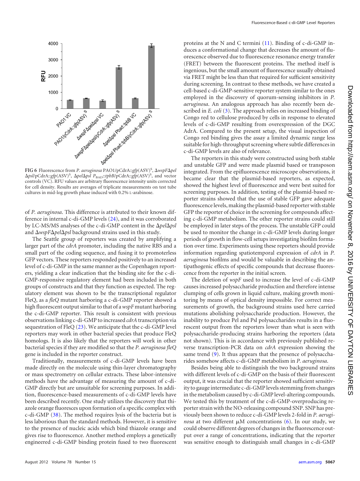

<span id="page-9-0"></span>FIG 6 Fluorescence from *P. aeruginosa* PAO1/pCdrA::gfp(ASV)<sup>S</sup>, ΔwspFΔpel Δpsl/pCdrA::*gfp*(ASV)<sup>S</sup>, Δ*pel*Δps*l P*<sub>BAD</sub>::*tpbB*/pCdrA::*gfp*(ASV)<sup>S</sup>, and vector controls (VC). RFU values are arbitrary fluorescence intensity units corrected for cell density. Results are averages of triplicate measurements on test tube cultures in mid-log growth phase induced with 0.2% L-arabinose.

of *P. aeruginosa*. This difference is attributed to their known difference in internal c-di-GMP levels [\(24\)](#page-10-12), and it was corroborated by LC-MS/MS analyses of the c-di-GMP content in the *pelpsl* and  $\Delta$ *wspF* $\Delta$ *pel* $\Delta$ *psl* background strains used in this study.

The Seattle group of reporters was created by amplifying a larger part of the *cdrA* promoter, including the native RBS and a small part of the coding sequence, and fusing it to promoterless GFP vectors. These reporters responded positively to an increased level of c-di-GMP in the same manner as the Copenhagen reporters, yielding a clear indication that the binding site for the c-di-GMP-responsive regulatory element had been included in both groups of constructs and that they function as expected. The regulatory element was shown to be the transcriptional regulator FleQ, as a *fleQ* mutant harboring a c-di-GMP reporter showed a high fluorescent output similar to that of a*wspF* mutant harboring the c-di-GMP reporter. This result is consistent with previous observations linking c-di-GMP to increased *cdrA* transcription via sequestration of FleQ [\(23\)](#page-10-13). We anticipate that the c-di-GMP level reporters may work in other bacterial species that produce FleQ homologs. It is also likely that the reporters will work in other bacterial species if they are modified so that the *P. aeruginosa fleQ* gene is included in the reporter construct.

Traditionally, measurements of c-di-GMP levels have been made directly on the molecule using thin-layer chromatography or mass spectrometry on cellular extracts. These labor-intensive methods have the advantage of measuring the amount of c-di-GMP directly but are unsuitable for screening purposes. In addition, fluorescence-based measurements of c-di-GMP levels have been described recently. One study utilizes the discovery that thiazole orange fluoresces upon formation of a specific complex with c-di-GMP [\(38\)](#page-11-16). The method requires lysis of the bacteria but is less laborious than the standard methods. However, it is sensitive to the presence of nucleic acids which bind thiazole orange and gives rise to fluorescence. Another method employs a genetically engineered c-di-GMP binding protein fused to two fluorescent proteins at the N and C termini [\(11\)](#page-10-28). Binding of c-di-GMP induces a conformational change that decreases the amount of fluorescence observed due to fluorescence resonance energy transfer (FRET) between the fluorescent proteins. The method itself is ingenious, but the small amount of fluorescence usually obtained via FRET might be less than that required for sufficient sensitivity during screening. In contrast to these methods, we have created a cell-based c-di-GMP-sensitive reporter system similar to the ones employed in the discovery of quorum-sensing inhibitors in *P. aeruginosa*. An analogous approach has also recently been described in *E. coli* [\(3\)](#page-10-29). The approach relies on increased binding of Congo red to cellulose produced by cells in response to elevated levels of c-di-GMP resulting from overexpression of the DGC AdrA. Compared to the present setup, the visual inspection of Congo red binding gives the assay a limited dynamic range less suitable for high-throughput screening where subtle differences in c-di-GMP levels are also of relevance.

The reporters in this study were constructed using both stable and unstable GFP and were made plasmid based or transposon integrated. From the epifluorescence microscope observations, it became clear that the plasmid-based reporters, as expected, showed the highest level of fluorescence and were best suited for screening purposes. In addition, testing of the plasmid-based reporter strains showed that the use of stable GFP gave adequate fluorescence levels, making the plasmid-based reporter with stable GFP the reporter of choice in the screening for compounds affecting c-di-GMP metabolism. The other reporter strains could still be employed in later steps of the process. The unstable GFP could be used to monitor the change in c-di-GMP levels during longer periods of growth in flow-cell setups investigating biofilm formation over time. Experiments using these reporters should provide information regarding spatiotemporal expression of *cdrA* in *P. aeruginosa* biofilms and would be valuable in describing the antipathogenic effects of specific compounds that decrease fluorescence from the reporter in the initial screen.

The deletion of *wspF* used to increase the level of c-di-GMP causes increased polysaccharide production and therefore intense clumping of cells grown in liquid culture, making growth monitoring by means of optical density impossible. For correct measurements of growth, the background strains used here carried mutations abolishing polysaccharide production. However, the inability to produce Pel and Psl polysaccharides results in a fluorescent output from the reporters lower than what is seen with polysaccharide-producing strains harboring the reporters (data not shown). This is in accordance with previously published reverse transcription-PCR data on *cdrA* expression showing the same trend [\(9\)](#page-10-9). It thus appears that the presence of polysaccharides somehow affects c-di-GMP metabolism in *P. aeruginosa*.

Besides being able to distinguish the two background strains with different levels of c-di-GMP on the basis of their fluorescent output, it was crucial that the reporter showed sufficient sensitivity to gauge intermediate c-di-GMP levels stemming from changes in the metabolism caused by c-di-GMP level-altering compounds. We tested this by treatment of the c-di-GMP-overproducing reporter strain with the NO-releasing compound SNP. SNP has previously been shown to reduce c-di-GMP levels 2-fold in *P. aeruginosa* at two different  $\mu$ M concentrations [\(6\)](#page-10-16). In our study, we could observe different degrees of changes in the fluorescence output over a range of concentrations, indicating that the reporter was sensitive enough to distinguish small changes in c-di-GMP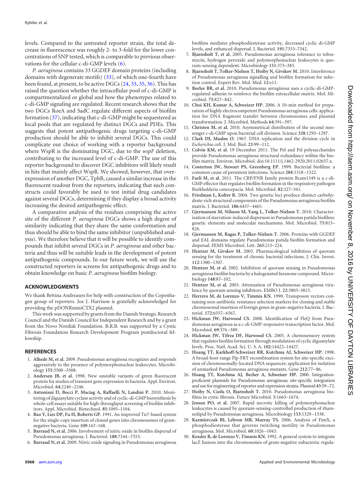levels. Compared to the untreated reporter strain, the total decrease in fluorescence was roughly 2- to 3-fold for the lower concentrations of SNP tested, which is comparable to previous observations for the cellular c-di-GMP levels [\(6\)](#page-10-16).

*P. aeruginosa* contains 33 GGDEF domain proteins (including domains with degenerate motifs) [\(33\)](#page-11-14), of which one-fourth have been found, at present, to be active DGCs [\(24,](#page-10-12) [33,](#page-11-14) [35,](#page-11-0) [36\)](#page-11-7). This has raised the question whether the intracellular pool of c-di-GMP is compartmentalized or global and how the phenotypes related to c-di-GMP signaling are regulated. Recent research shows that the two DGCs RoeA and SadC regulate different aspects of biofilm formation [\(37\)](#page-11-17), indicating that c-di-GMP might be sequestered as local pools that are regulated by distinct DGCs and PDEs. This suggests that potent antipathogenic drugs targeting c-di-GMP production should be able to inhibit several DGCs. This could complicate our choice of working with a reporter background where WspR is the dominating DGC, due to the *wspF* deletion, contributing to the increased level of c-di-GMP. The use of this reporter background to discover DGC inhibitors will likely result in hits that mainly affect WspR. We showed, however, that overexpression of another DGC, TpbB, caused a similar increase in the fluorescent readout from the reporters, indicating that such constructs could favorably be used to test initial drug candidates against several DGCs, determining if they display a broad activity increasing the desired antipathogenic effect.

A comparative analysis of the residues comprising the active site of the different *P. aeruginosa* DGCs shows a high degree of similarity indicating that they share the same conformation and thus should be able to bind the same inhibitor (unpublished analysis). We therefore believe that it will be possible to identify compounds that inhibit several DGCs in *P. aeruginosa* and other bacteria and thus will be suitable leads in the development of potent antipathogenic compounds. In our future work, we will use the constructed reporters in screens for antipathogenic drugs and to obtain knowledge on basic *P. aeruginosa* biofilm biology.

#### **ACKNOWLEDGMENTS**

We thank Bettina Andreasen for help with construction of the Copenhagen group of reporters. Joe J. Harrison is gratefully acknowledged for providing the pDONRminiCTX2 plasmid.

This work was supported by grants from the Danish Strategic Research Council and the Danish Council for Independent Research and by a grant from the Novo Nordisk Foundation. B.R.B. was supported by a Cystic Fibrosis Foundation Research Development Program postdoctoral fellowship.

#### <span id="page-10-4"></span>**REFERENCES**

- 1. **Alhede M, et al.** 2009. Pseudomonas aeruginosa recognizes and responds aggressively to the presence of polymorphonuclear leukocytes. Microbiology **155**:3500 –3508.
- <span id="page-10-19"></span>2. **Andersen JB, et al.** 1998. New unstable variants of green fluorescent protein for studies of transient gene expression in bacteria. Appl. Environ. Microbiol. **64**:2240 –2246.
- <span id="page-10-29"></span>3. **Antoniani D, Bocci P, Maciag A, Raffaelli N, Landini P.** 2010. Monitoring of diguanylate cyclase activity and of cyclic-di-GMP biosynthesis by whole-cell assays suitable for high-throughput screening of biofilm inhibitors. Appl. Microbiol. Biotechnol. **85**:1095–1104.
- <span id="page-10-22"></span>4. **Bao Y, Lies DP, Fu H, Roberts GP.** 1991. An improved Tn7-based system for the single-copy insertion of cloned genes into chromosomes of gramnegative bacteria. Gene **109**:167–168.
- <span id="page-10-27"></span>5. **Barraud N, et al.** 2006. Involvement of nitric oxide in biofilm dispersal of Pseudomonas aeruginosa. J. Bacteriol. **188**:7344 –7353.
- <span id="page-10-16"></span>6. **Barraud N, et al.** 2009. Nitric oxide signaling in Pseudomonas aeruginosa

biofilms mediates phosphodiesterase activity, decreased cyclic di-GMP levels, and enhanced dispersal. J. Bacteriol. **191**:7333–7342.

- <span id="page-10-5"></span>7. **Bjarnsholt T, et al.** 2005. Pseudomonas aeruginosa tolerance to tobramycin, hydrogen peroxide and polymorphonuclear leukocytes is quorum-sensing dependent. Microbiology **151**:373–383.
- <span id="page-10-7"></span>8. **Bjarnsholt T, Tolker-Nielsen T, Hoiby N, Givskov M.** 2010. Interference of Pseudomonas aeruginosa signalling and biofilm formation for infection control. Expert Rev. Mol. Med. **12**:e11.
- <span id="page-10-9"></span>9. **Borlee BR, et al.** 2010. Pseudomonas aeruginosa uses a cyclic-di-GMPregulated adhesin to reinforce the biofilm extracellular matrix. Mol. Microbiol. **75**:827–842.
- <span id="page-10-20"></span>10. **Choi KH, Kumar A, Schweizer HP.** 2006. A 10-min method for preparation of highly electrocompetent Pseudomonas aeruginosa cells: application for DNA fragment transfer between chromosomes and plasmid transformation. J. Microbiol. Methods **64**:391–397.
- <span id="page-10-28"></span>11. **Christen M, et al.** 2010. Asymmetrical distribution of the second messenger c-di-GMP upon bacterial cell division. Science **328**:1295–1297.
- <span id="page-10-17"></span>12. **Clark DJ, Maaløe O.** 1967. DNA replication and the division cycle in *Escherichia coli*. J. Mol. Biol. **23**:99 –112.
- <span id="page-10-25"></span>13. **Colvin KM, et al.** 19 December 2011. The Pel and Psl polysaccharides provide Pseudomonas aeruginosa structural redundancy within the biofilm matrix. Environ. Microbiol. doi:10.1111/j.1462-2920.2011.02657.x.
- <span id="page-10-0"></span>14. **Costerton JW, Stewart PS, Greenberg EP.** 1999. Bacterial biofilms: a common cause of persistent infections. Science **284**:1318 –1322.
- <span id="page-10-10"></span>15. **Fazli M, et al.** 2011. The CRP/FNR family protein Bcam1349 is a c-di-GMP effector that regulates biofilm formation in the respiratory pathogen Burkholderia cenocepacia. Mol. Microbiol. **82**:327–341.
- <span id="page-10-26"></span>16. **Friedman L, Kolter R.** 2004. Two genetic loci produce distinct carbohydrate-rich structural components of the Pseudomonas aeruginosa biofilm matrix. J. Bacteriol. **186**:4457–4465.
- <span id="page-10-11"></span>17. **Gjermansen M, Nilsson M, Yang L, Tolker-Nielsen T.** 2010. Characterization of starvation-induced dispersion in Pseudomonas putida biofilms: genetic elements and molecular mechanisms. Mol. Microbiol. **75**:815– 826.
- <span id="page-10-15"></span>18. **Gjermansen M, Ragas P, Tolker-Nielsen T.** 2006. Proteins with GGDEF and EAL domains regulate Pseudomonas putida biofilm formation and dispersal. FEMS Microbiol. Lett. **265**:215–224.
- <span id="page-10-1"></span>19. **Hentzer M, Givskov M.** 2003. Pharmacological inhibition of quorum sensing for the treatment of chronic bacterial infections. J. Clin. Invest. **112**:1300 –1307.
- <span id="page-10-8"></span>20. **Hentzer M, et al.** 2002. Inhibition of quorum sensing in Pseudomonas aeruginosa biofilm bacteria by a halogenated furanone compound. Microbiology **148**:87–102.
- <span id="page-10-2"></span>21. **Hentzer M, et al.** 2003. Attenuation of Pseudomonas aeruginosa virulence by quorum sensing inhibitors. EMBO J. **22**:3803–3815.
- <span id="page-10-21"></span>22. **Herrero M, de Lorenzo V, Timmis KN.** 1990. Transposon vectors containing non-antibiotic resistance selection markers for cloning and stable chromosomal insertion of foreign genes in gram-negative bacteria. J. Bacteriol. **172**:6557–6567.
- <span id="page-10-13"></span>23. **Hickman JW, Harwood CS.** 2008. Identification of FleQ from Pseudomonas aeruginosa as a c-di-GMP-responsive transcription factor. Mol. Microbiol. **69**:376 –389.
- <span id="page-10-12"></span>24. **Hickman JW, Tifrea DF, Harwood CS.** 2005. A chemosensory system that regulates biofilm formation through modulation of cyclic diguanylate levels. Proc. Natl. Acad. Sci. U. S. A. **102**:14422–14427.
- <span id="page-10-18"></span>25. **Hoang TT, Karkhoff-Schweizer RR, Kutchma AJ, Schweizer HP.** 1998. A broad-host-range Flp-FRT recombination system for site-specific excision of chromosomally-located DNA sequences: application for isolation of unmarked Pseudomonas aeruginosa mutants. Gene **212**:77–86.
- <span id="page-10-24"></span>26. **Hoang TT, Kutchma AJ, Becher A, Schweizer HP.** 2000. Integrationproficient plasmids for Pseudomonas aeruginosa: site-specific integration and use for engineering of reporter and expression strains. Plasmid **43**:59 –72.
- <span id="page-10-3"></span>27. **Hoiby N, Ciofu O, Bjarnsholt T.** 2010. Pseudomonas aeruginosa biofilms in cystic fibrosis. Future Microbiol. **5**:1663–1674.
- <span id="page-10-6"></span>28. **Jensen PO, et al.** 2007. Rapid necrotic killing of polymorphonuclear leukocytes is caused by quorum-sensing-controlled production of rhamnolipid by Pseudomonas aeruginosa. Microbiology **153**:1329 –1338.
- <span id="page-10-14"></span>29. **Kazmierczak BI, Lebron MB, Murray TS.** 2006. Analysis of FimX, a phosphodiesterase that governs twitching motility in Pseudomonas aeruginosa. Mol. Microbiol. **60**:1026 –1043.
- <span id="page-10-23"></span>30. **Kessler B, de Lorenzo V, Timmis KN.** 1992. A general system to integrate lacZ fusions into the chromosomes of gram-negative eubacteria: regula-